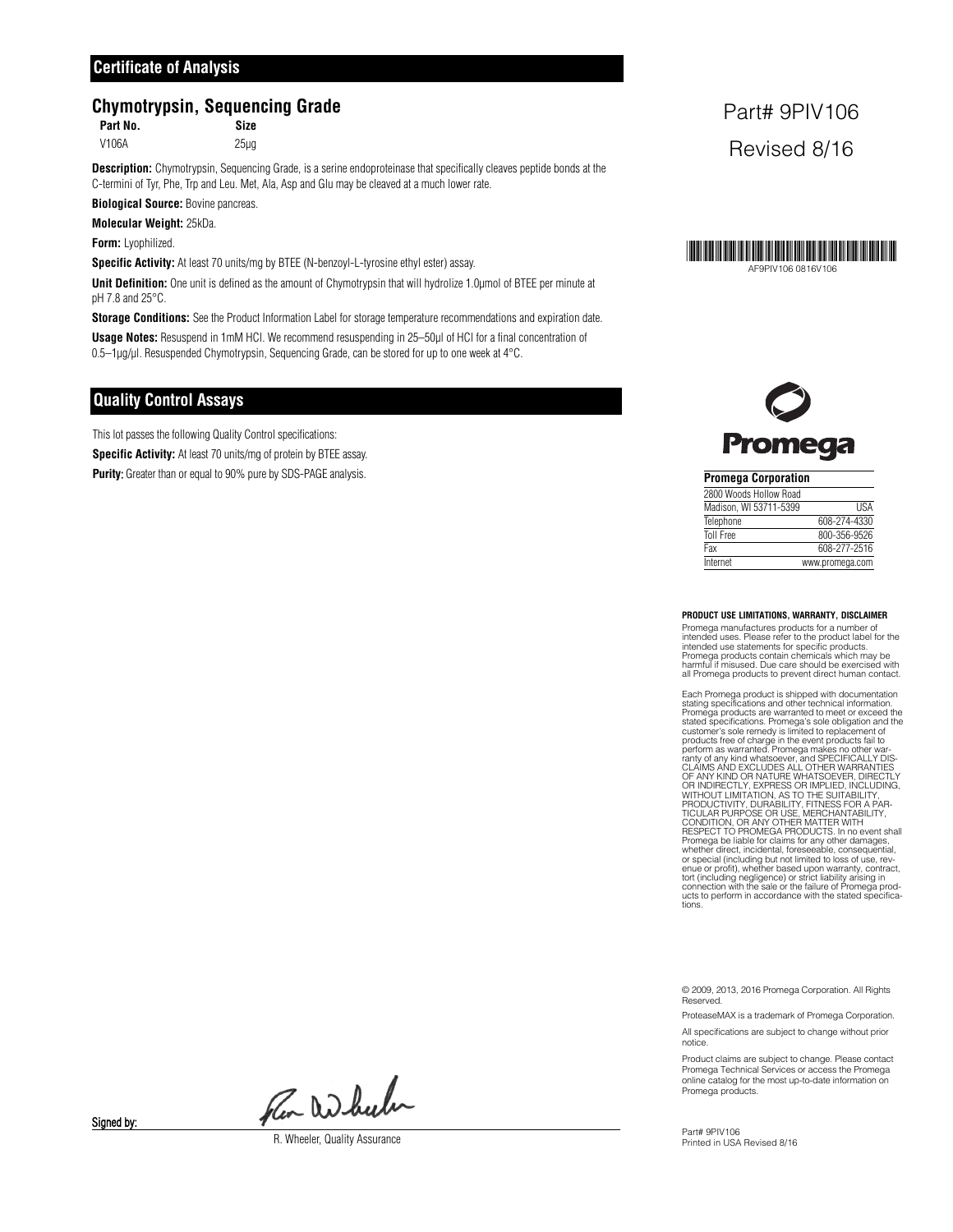# **Chymotrypsin, Sequencing Grade**

**Part No. Size**

V106A 25µg

**Description:** Chymotrypsin, Sequencing Grade, is a serine endoproteinase that specifically cleaves peptide bonds at the C-termini of Tyr, Phe, Trp and Leu. Met, Ala, Asp and Glu may be cleaved at a much lower rate.

**Biological Source:** Bovine pancreas.

**Molecular Weight:** 25kDa.

**Form:** Lyophilized.

**Specific Activity:** At least 70 units/mg by BTEE (N-benzoyl-L-tyrosine ethyl ester) assay.

**Unit Definition:** One unit is defined as the amount of Chymotrypsin that will hydrolize 1.0µmol of BTEE per minute at pH 7.8 and 25°C.

**Storage Conditions:** See the Product Information Label for storage temperature recommendations and expiration date.

**Usage Notes:** Resuspend in 1mM HCl. We recommend resuspending in 25–50µl of HCl for a final concentration of 0.5–1µg/µl. Resuspended Chymotrypsin, Sequencing Grade, can be stored for up to one week at 4°C.

# **Quality Control Assays**

This lot passes the following Quality Control specifications:

**Specific Activity:** At least 70 units/mg of protein by BTEE assay.

**Purity:** Greater than or equal to 90% pure by SDS-PAGE analysis.

# Part# 9PIV106 Revised 8/16





| <b>Promega Corporation</b> |                 |  |  |
|----------------------------|-----------------|--|--|
| 2800 Woods Hollow Road     |                 |  |  |
| Madison. WI 53711-5399     | <b>IISA</b>     |  |  |
| Telephone                  | 608-274-4330    |  |  |
| <b>Toll Free</b>           | 800-356-9526    |  |  |
| Fax                        | 608-277-2516    |  |  |
| Internet                   | www.promega.com |  |  |

#### **PRODUCT USE LIMITATIONS, WARRANTY, DISCLAIMER**

Promega manufactures products for a number of intended uses. Please refer to the product label for the intended use statements for specific products. Promega products contain chemicals which may be harmful if misused. Due care should be exercised with all Promega products to prevent direct human contact.

Each Promega product is shipped with documentation stating specifications and other technical information. Promega products are warranted to meet or exceed the<br>stated specifications. Promega's sole obligation and the<br>customer's sole remedy is limited to replacement of<br>products free of charge in the event products fail to<br>perfor connection with the sale or strict liability arising in connection with the sale or the failure of Promega products to perform in accordance with the stated specifica-tions.

© 2009, 2013, 2016 Promega Corporation. All Rights **Reserved** 

ProteaseMAX is a trademark of Promega Corporation.

All specifications are subject to change without prior notice.

Product claims are subject to change. Please contact Promega Technical Services or access the Promega online catalog for the most up-to-date information on Promega products.

Part# 9PIV106 Printed in USA Revised 8/16

Pen Wheeler

R. Wheeler, Quality Assurance

Signed by: